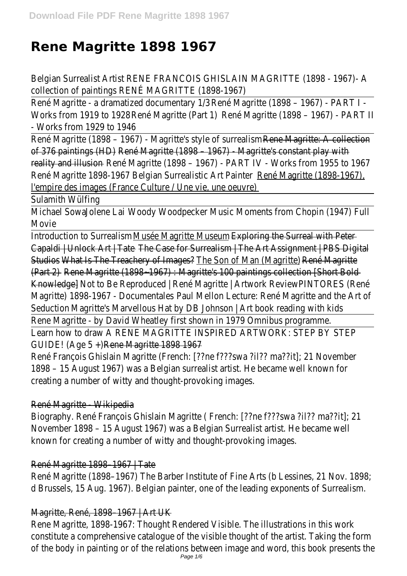# **Rene Magritte 1898 1967**

Belgian Surrealist Artist RENE FRANCOIS GHISLAIN MAGRITTE (1898 - 1967)collection of paintRENE MAGRITTE (1898-1967

René Magritte - a dramatized docume eta Macritte (1898 – 1967) - PART I -Works from 1919 to René Magritte (Partent Magritte (1898 – 1967) - PART - Works from 1929 to 1946

René Magritte (1898 - 1967) - Magritte's style Reneuvlaghiste: A collection of 376 paintings (Rb) é Magritte (1898 – 1967) - Magritte's constant play w reality and illusinané Magritte (1898 - 1967) - PART IV - Works from 1955 to René Magritte 1898-1967 Belgian Surrealistic Rene Ailatenitte (1898-1967) l'empire des images (France Culture / Une vie, une oeuvre

Sulamith Wülfing

Michael Soudalene LaWoody Woodpecker Music Moments from Chopin (1947) Movie

Introduction to SurreMissee Magritte Museuptering the Surreal with Pete Capaldi | Unlock Art | Tate Case for Surrealism | The Art Assignment | PBS Dic Studio What Is The Treachery of Im Zume Son of Man (Mag Retma) Magritte (Part 2)Rene Magritte (1898~1967) : Magritte's 100 paintings collection [Sho Knowledge]Not to Be Reproduced | René Magritte | Artwork Review Press Magritte) 1898-1967 - Docun Peaul al Assellon Lecture: René Magritte and the Art SeductioMagritte's Marvellous Hat by DB Johnson | Art book reading with kid Rene Magritte - by David Wheatley first shown in 1979 Omnibus programm Learn how to draw A RENE MAGRITTE INSPIRED ARTWORK: STEP BY STI GUIDE! (Age 5 Rene Magritte 1898 1967

René François Ghislain Magritte (French: [??ne f???swa ?il?? ma??it]; 21 Nove 1898 - 15 August 1967) was a Belgian surrealist artist. He became well know creating a number of witty and thought-provoking images

# René Magritte - Wikipedia

Biography. René François Ghislain Magritte ( French: [??ne f???swa ?il?? ma?? November 1898 - 15 August 1967) was a Belgian Surrealist artist. He becam known for creating a number of witty and thought-provoking image

# René Magritte 1898–1967 | Tate

René Magritte (1898-1967) The Barber Institute of Fine Arts (b Lessines, 21 d Brussels, 15 Aug. 1967). Belgian painter, one of the leading exponents of Surre

# Magritte, René, 1898-1967 | Art UI

Rene Magritte, 1898-1967: Thought Rendered Visible. The illustrations in this constitute a comprehensive catalogue of the visible thought of the artist. Ta of the body in painting or of the relations between image and word, this boo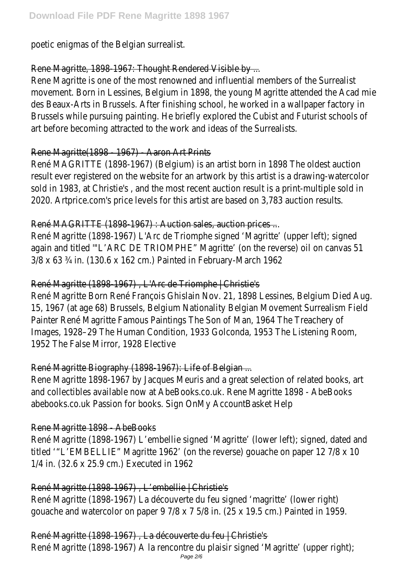poetic enigmas of the Belgian surrealist.

### Rene Magritte, 1898-1967: Thought Rendered Visible by

Rene Magritte is one of the most renowned and influential members of the S movement. Born in Lessines, Belgium in 1898, the young Magritte attended the Acad mies des Beaux-Arts in Brussels. After finishing school, he worked in a wallpaper factory Brussels while pursuing painting. He briefly explored the Cubist and Futurist s art before becoming attracted to the work and ideas of the Surrealist

# Rene Magritte(1898 - 1967) - Aaron Art Print

René MAGRITTE (1898-1967) (Belgium) is an artist born in 1898 The oldest a result ever registered on the website for an artwork by this artist is a draw sold in 1983, at Christie's, and the most recent auction result is a print-mul 2020. Artprice.com's price levels for this artist are based on 3,783 auction r

# René MAGRITTE (1898-1967) : Auction sales, auction prices

René Magritte (1898-1967) L'Arc de Triomphe signed 'Magritte' (upper left); again and titled "'L'ARC DE TRIOMPHE" Magritte' (on the reverse) oil on canva 3/8 x 63 ¾ in. (130.6 x 162 cm.) Painted in February-March 1962

# René Magritte (1898-1967), L'Arc de Triomphe | Christie

René Magritte Born René François Ghislain Nov. 21, 1898 Lessines, Belgium D 15, 1967 (at age 68) Brussels, Belgium Nationality Belgian Movement Surreal Painter René Magritte Famous Paintings The Son of Man, 1964 The Treacher Images, 1928–29 The Human Condition, 1933 Golconda, 1953 The Listening F 1952 The False Mirror, 1928 Elective

# René Magritte Biography (1898-1967): Life of Belgian

Rene Magritte 1898-1967 by Jacques Meuris and a great selection of related and collectibles available now at AbeBooks.co.uk. Rene Magritte 1898 - AbeBooks.co.uk abebooks.co.uk Passion for books. Sign OnMy AccountBasket Hel

#### Rene Magritte 1898 - AbeBooks

René Magritte (1898-1967) L'embellie signed 'Magritte' (lower left); signed, date titled "L'EMBELLIE" Magritte 1962' (on the reverse) gouache on paper 12 7/8 1/4 in. (32.6 x 25.9 cm.) Executed in 1962

#### René Magritte (1898-1967), L'embellie | Christie'

René Magritte (1898-1967) La découverte du feu signed 'magritte' (lower right) gouache and watercolor on paper  $9$  7/8 x 7 5/8 in. (25 x 19.5 cm.) Painted

René Magritte (1898-1967), La découverte du feu | Christie

René Magritte (1898-1967) A la rencontre du plaisir signed 'Magritte' (upper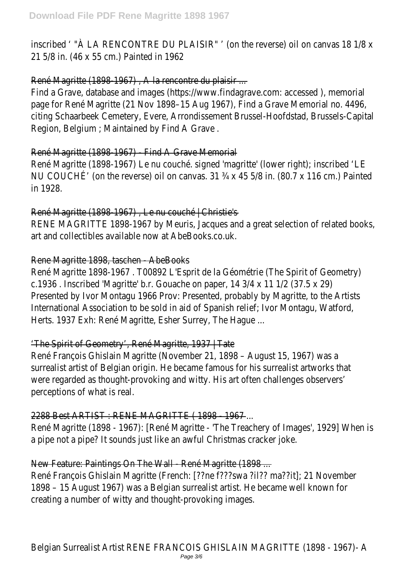inscribed ' "À LA RENCONTRE DU PLAISIR" ' (on the reverse) oil on canvas 18 1 21 5/8 in. (46 x 55 cm.) Painted in 1962

#### René Magritte (1898-1967), A la rencontre du plaisir

Find a Grave, database and images (https://www.findagrave.com: accessed), page for René Magritte (21 Nov 1898–15 Aug 1967), Find a Grave Memorial citing Schaarbeek Cemetery, Evere, Arrondissement Brussel-Hoofdstad, Bruss Region, Belgium ; Maintained by Find A Grave .

#### René Magritte (1898-1967) - Find A Grave Memoria

René Magritte (1898-1967) Le nu couché. signed 'magritte' (lower right); ins NU COUCHÉ' (on the reverse) oil on canvas.  $31 \frac{3}{4}$  x  $45 \frac{5}{8}$  in. (80.7 x 116 cm.) in 1928.

René Magritte (1898-1967), Le nu couché | Christie RENE MAGRITTE 1898-1967 by Meuris, Jacques and a great selection of relat art and collectibles available now at AbeBooks.co.uk.

#### Rene Magritte 1898, taschen - AbeBooks

René Magritte 1898-1967. TOO892 L'Esprit de la Géométrie (The Spirit of Geometrie) c.1936 . Inscribed 'Magritte' b.r. Gouache on paper, 14 3/4 x 11 1/2 (37.5 x Presented by Ivor Montagu 1966 Prov: Presented, probably by Magritte, to the International Association to be sold in aid of Spanish relief; Ivor Montagu, Wa Herts. 1937 Exh: René Magritte, Esher Surrey, The Hague

### 'The Spirit of Geometry', René Magritte, 1937 | Tat

René François Ghislain Magritte (November 21, 1898 - August 15, 1967) was surrealist artist of Belgian origin. He became famous for his surrealist artwor were regarded as thought-provoking and witty. His art often challenges observers perceptions of what is real.

#### 2288 Best ARTIST : RENE MAGRITTE (1898 - 1967

René Magritte (1898 - 1967): [René Magritte - 'The Treachery of Images', 19 a pipe not a pipe? It sounds just like an awful Christmas cracker jok.

#### New Feature: Paintings On The Wall - René Magritte (1898)

René François Ghislain Magritte (French: [??ne f???swa ?il?? ma??it]; 21 Nove 1898 - 15 August 1967) was a Belgian surrealist artist. He became well know creating a number of witty and thought-provoking images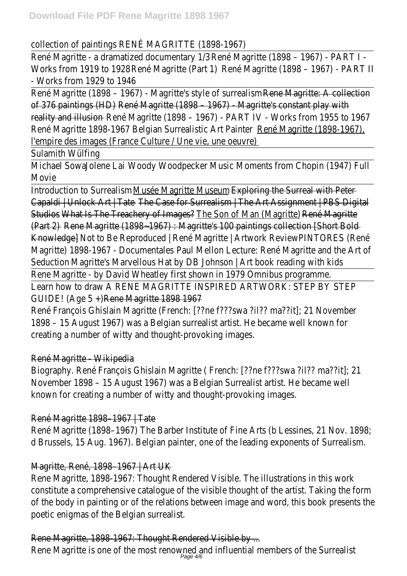### collection of paintRENE MAGRITTE (1898-1967

René Magritte - a dramatized documeration 1/3 aprilie (1898 - 1967) - PART I Works from 1919 to René Magritte (Partent) Magritte (1898 - 1967) - PART - Works from 1929 to 1946

René Magritte (1898 - 1967) - Magritte's style Reneuvlaanliste: A collection of 376 paintings (RED) é Magritte (1898 - 1967) - Magritte's constant play w reality and illusinané Magritte (1898 - 1967) - PART IV - Works from 1955 to René Magritte 1898-1967 Belgian Surrealistic Rene Materitte (1898-1967) l'empire des images (France Culture / Une vie, une oeuvre

Sulamith Wülfing

Michael Soudalene LaWoody Woodpecker Music Moments from Chopin (1947) Movie

Introduction to Surreclisse Magritte Musesploring the Surreal with Pete Capaldi | Unlock Art | Tate Case for Surrealism | The Art Assignment | PBS Dic Studio What Is The Treachery of Iman Consol of Man (Magritte) Magritte (Part 2)Rene Magritte (1898-1967) : Magritte's 100 paintings collection [Sho Knowledge]Not to Be Reproduced | René Magritte | Artwork Review PINTORES (René Magritte) 1898-1967 - Docun Peaul al Assellon Lecture: René Magritte and the Art SeductioMagritte's Marvellous Hat by DB Johnson | Art book reading with kid Rene Magritte - by David Wheatley first shown in 1979 Omnibus programm Learn how to draw A RENE MAGRITTE INSPIRED ARTWORK: STEP BY STI GUIDE! (Age 5 Rene Magritte 1898 1967

René François Ghislain Magritte (French: [??ne f???swa ?il?? ma??it]; 21 Nove 1898 - 15 August 1967) was a Belgian surrealist artist. He became well know creating a number of witty and thought-provoking images

# René Magritte - Wikipedia

Biography. René François Ghislain Magritte ( French: [??ne f???swa ?il?? ma?? November 1898 - 15 August 1967) was a Belgian Surrealist artist. He becam known for creating a number of witty and thought-provoking image

# René Magritte 1898-1967 | Tate

René Magritte (1898–1967) The Barber Institute of Fine Arts (b Lessines, 21 d Brussels, 15 Aug. 1967). Belgian painter, one of the leading exponents of Surre

# Magritte, René, 1898-1967 | Art UI

Rene Magritte, 1898-1967: Thought Rendered Visible. The illustrations in this constitute a comprehensive catalogue of the visible thought of the artist. Ta of the body in painting or of the relations between image and word, this boo poetic enigmas of the Belgian surrealist

# Rene Magritte, 1898-1967: Thought Rendered Visible by

Rene Magritte is one of the most renowned and influential members of the S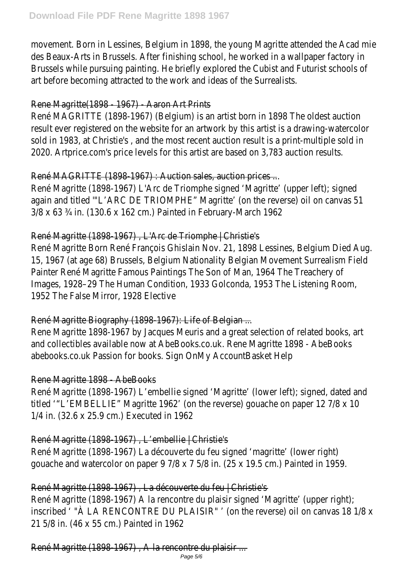movement. Born in Lessines, Belgium in 1898, the young Magritte attended the Mc des Beaux-Arts in Brussels. After finishing school, he worked in a wallpaper factory Brussels while pursuing painting. He briefly explored the Cubist and Futurist s art before becoming attracted to the work and ideas of the Surrealist

# Rene Magritte(1898 - 1967) - Aaron Art Print

René MAGRITTE (1898-1967) (Belgium) is an artist born in 1898 The oldest a result ever registered on the website for an artwork by this artist is a draw sold in 1983, at Christie's, and the most recent auction result is a print-multiple sold in 2020. Artprice.com's price levels for this artist are based on 3,783 auction r

# René MAGRITTE (1898-1967) : Auction sales, auction prices

René Magritte (1898-1967) L'Arc de Triomphe signed 'Magritte' (upper left); again and titled "'L'ARC DE TRIOMPHE" Magritte' (on the reverse) oil on canva 3/8 x 63 ¾ in. (130.6 x 162 cm.) Painted in February-March 1962

#### René Magritte (1898-1967), L'Arc de Triomphe | Christie

René Magritte Born René François Ghislain Nov. 21, 1898 Lessines, Belgium D 15, 1967 (at age 68) Brussels, Belgium Nationality Belgian Movement Surreal Painter René Magritte Famous Paintings The Son of Man, 1964 The Treacher Images, 1928–29 The Human Condition, 1933 Golconda, 1953 The Listening F 1952 The False Mirror, 1928 Elective

#### René Magritte Biography (1898-1967): Life of Belgian

Rene Magritte 1898-1967 by Jacques Meuris and a great selection of related and collectibles available now at AbeBooks.co.uk. Rene Magritte 1898 - AbeBooks.co.uk abebooks.co.uk Passion for books. Sign OnMy AccountBasket Help

#### Rene Magritte 1898 - AbeBooks

René Magritte (1898-1967) L'embellie signed 'Magritte' (lower left); signed, date titled "L'EMBELLIE" Magritte 1962' (on the reverse) gouache on paper 12 7/8 1/4 in. (32.6 x 25.9 cm.) Executed in 1962

# René Magritte (1898-1967), L'embellie | Christie'

René Magritte (1898-1967) La découverte du feu signed 'magritte' (lower right) gouache and watercolor on paper  $9$  7/8 x 7 5/8 in. (25 x 19.5 cm.) Painted

#### René Magritte (1898-1967), La découverte du feu | Christie

René Magritte (1898-1967) A la rencontre du plaisir signed 'Magritte' (upper inscribed ' "À LA RENCONTRE DU PLAISIR" ' (on the reverse) oil on canvas 18 1 21 5/8 in. (46 x 55 cm.) Painted in 1962

René Magritte (1898-1967), A la rencontre du plaisir